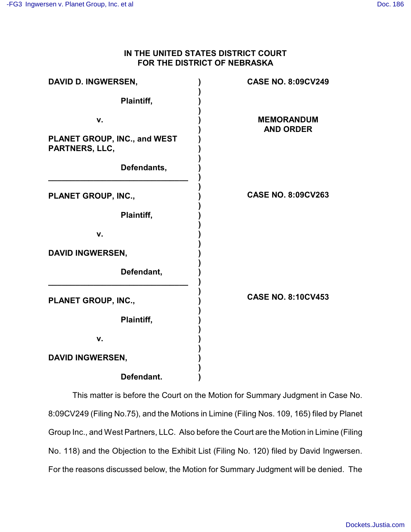# **IN THE UNITED STATES DISTRICT COURT FOR THE DISTRICT OF NEBRASKA**

| <b>DAVID D. INGWERSEN,</b>                     | <b>CASE NO. 8:09CV249</b>             |
|------------------------------------------------|---------------------------------------|
| Plaintiff,                                     |                                       |
| v.                                             | <b>MEMORANDUM</b><br><b>AND ORDER</b> |
| PLANET GROUP, INC., and WEST<br>PARTNERS, LLC, |                                       |
| Defendants,                                    |                                       |
| PLANET GROUP, INC.,                            | <b>CASE NO. 8:09CV263</b>             |
| Plaintiff,                                     |                                       |
| v.                                             |                                       |
| <b>DAVID INGWERSEN,</b>                        |                                       |
| Defendant,                                     |                                       |
| PLANET GROUP, INC.,                            | <b>CASE NO. 8:10CV453</b>             |
| Plaintiff,                                     |                                       |
| v.                                             |                                       |
| <b>DAVID INGWERSEN,</b>                        |                                       |
| Defendant.                                     |                                       |

This matter is before the Court on the Motion for Summary Judgment in Case No. 8:09CV249 (Filing No.75), and the Motions in Limine (Filing Nos. 109, 165) filed by Planet Group Inc., and West Partners, LLC. Also before the Court are the Motion in Limine (Filing No. 118) and the Objection to the Exhibit List (Filing No. 120) filed by David Ingwersen. For the reasons discussed below, the Motion for Summary Judgment will be denied. The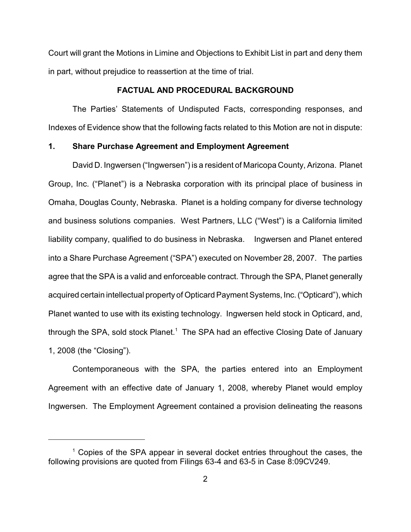Court will grant the Motions in Limine and Objections to Exhibit List in part and deny them in part, without prejudice to reassertion at the time of trial.

# **FACTUAL AND PROCEDURAL BACKGROUND**

The Parties' Statements of Undisputed Facts, corresponding responses, and Indexes of Evidence show that the following facts related to this Motion are not in dispute:

# **1. Share Purchase Agreement and Employment Agreement**

David D. Ingwersen ("Ingwersen") is a resident of Maricopa County, Arizona. Planet Group, Inc. ("Planet") is a Nebraska corporation with its principal place of business in Omaha, Douglas County, Nebraska. Planet is a holding company for diverse technology and business solutions companies. West Partners, LLC ("West") is a California limited liability company, qualified to do business in Nebraska. Ingwersen and Planet entered into a Share Purchase Agreement ("SPA") executed on November 28, 2007. The parties agree that the SPA is a valid and enforceable contract. Through the SPA, Planet generally acquired certain intellectual property of Opticard Payment Systems, Inc. ("Opticard"), which Planet wanted to use with its existing technology. Ingwersen held stock in Opticard, and, through the SPA, sold stock Planet.<sup>1</sup> The SPA had an effective Closing Date of January 1, 2008 (the "Closing").

Contemporaneous with the SPA, the parties entered into an Employment Agreement with an effective date of January 1, 2008, whereby Planet would employ Ingwersen. The Employment Agreement contained a provision delineating the reasons

 $1$  Copies of the SPA appear in several docket entries throughout the cases, the following provisions are quoted from Filings 63-4 and 63-5 in Case 8:09CV249.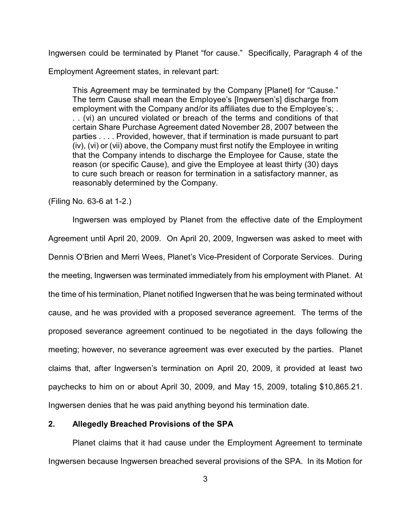Ingwersen could be terminated by Planet "for cause." Specifically, Paragraph 4 of the

Employment Agreement states, in relevant part:

This Agreement may be terminated by the Company [Planet] for "Cause." The term Cause shall mean the Employee's [Ingwersen's] discharge from employment with the Company and/or its affiliates due to the Employee's; . . . (vi) an uncured violated or breach of the terms and conditions of that certain Share Purchase Agreement dated November 28, 2007 between the parties . . . . Provided, however, that if termination is made pursuant to part (iv), (vi) or (vii) above, the Company must first notify the Employee in writing that the Company intends to discharge the Employee for Cause, state the reason (or specific Cause), and give the Employee at least thirty (30) days to cure such breach or reason for termination in a satisfactory manner, as reasonably determined by the Company.

(Filing No. 63-6 at 1-2.)

Ingwersen was employed by Planet from the effective date of the Employment Agreement until April 20, 2009. On April 20, 2009, Ingwersen was asked to meet with Dennis O'Brien and Merri Wees, Planet's Vice-President of Corporate Services. During the meeting, Ingwersen was terminated immediately from his employment with Planet. At the time of his termination, Planet notified Ingwersen that he was being terminated without cause, and he was provided with a proposed severance agreement. The terms of the proposed severance agreement continued to be negotiated in the days following the meeting; however, no severance agreement was ever executed by the parties. Planet claims that, after Ingwersen's termination on April 20, 2009, it provided at least two paychecks to him on or about April 30, 2009, and May 15, 2009, totaling \$10,865.21. Ingwersen denies that he was paid anything beyond his termination date.

# **2. Allegedly Breached Provisions of the SPA**

Planet claims that it had cause under the Employment Agreement to terminate Ingwersen because Ingwersen breached several provisions of the SPA. In its Motion for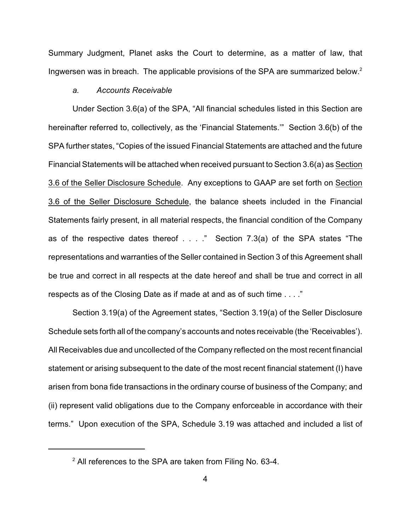Summary Judgment, Planet asks the Court to determine, as a matter of law, that Ingwersen was in breach. The applicable provisions of the SPA are summarized below.<sup>2</sup>

# *a. Accounts Receivable*

Under Section 3.6(a) of the SPA, "All financial schedules listed in this Section are hereinafter referred to, collectively, as the 'Financial Statements.'" Section 3.6(b) of the SPA further states, "Copies of the issued Financial Statements are attached and the future Financial Statements will be attached when received pursuant to Section 3.6(a) as Section 3.6 of the Seller Disclosure Schedule. Any exceptions to GAAP are set forth on Section 3.6 of the Seller Disclosure Schedule, the balance sheets included in the Financial Statements fairly present, in all material respects, the financial condition of the Company as of the respective dates thereof . . . ." Section 7.3(a) of the SPA states "The representations and warranties of the Seller contained in Section 3 of this Agreement shall be true and correct in all respects at the date hereof and shall be true and correct in all respects as of the Closing Date as if made at and as of such time . . . ."

Section 3.19(a) of the Agreement states, "Section 3.19(a) of the Seller Disclosure Schedule sets forth all of the company's accounts and notes receivable (the 'Receivables'). All Receivables due and uncollected of the Company reflected on the most recent financial statement or arising subsequent to the date of the most recent financial statement (I) have arisen from bona fide transactions in the ordinary course of business of the Company; and (ii) represent valid obligations due to the Company enforceable in accordance with their terms." Upon execution of the SPA, Schedule 3.19 was attached and included a list of

 $2$  All references to the SPA are taken from Filing No. 63-4.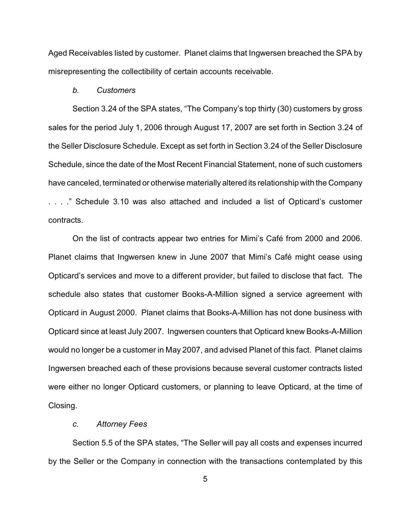Aged Receivables listed by customer. Planet claims that Ingwersen breached the SPA by misrepresenting the collectibility of certain accounts receivable.

#### *b. Customers*

Section 3.24 of the SPA states, "The Company's top thirty (30) customers by gross sales for the period July 1, 2006 through August 17, 2007 are set forth in Section 3.24 of the Seller Disclosure Schedule. Except as set forth in Section 3.24 of the Seller Disclosure Schedule, since the date of the Most Recent Financial Statement, none of such customers have canceled, terminated or otherwise materially altered its relationship with the Company . . . ." Schedule 3.10 was also attached and included a list of Opticard's customer contracts.

On the list of contracts appear two entries for Mimi's Café from 2000 and 2006. Planet claims that Ingwersen knew in June 2007 that Mimi's Café might cease using Opticard's services and move to a different provider, but failed to disclose that fact. The schedule also states that customer Books-A-Million signed a service agreement with Opticard in August 2000. Planet claims that Books-A-Million has not done business with Opticard since at least July 2007. Ingwersen counters that Opticard knew Books-A-Million would no longer be a customer in May 2007, and advised Planet of this fact. Planet claims Ingwersen breached each of these provisions because several customer contracts listed were either no longer Opticard customers, or planning to leave Opticard, at the time of Closing.

### *c. Attorney Fees*

Section 5.5 of the SPA states, "The Seller will pay all costs and expenses incurred by the Seller or the Company in connection with the transactions contemplated by this

5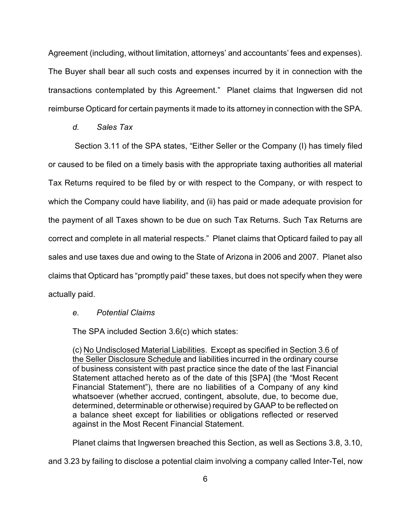Agreement (including, without limitation, attorneys' and accountants' fees and expenses). The Buyer shall bear all such costs and expenses incurred by it in connection with the transactions contemplated by this Agreement." Planet claims that Ingwersen did not reimburse Opticard for certain payments it made to its attorney in connection with the SPA.

*d. Sales Tax*

 Section 3.11 of the SPA states, "Either Seller or the Company (I) has timely filed or caused to be filed on a timely basis with the appropriate taxing authorities all material Tax Returns required to be filed by or with respect to the Company, or with respect to which the Company could have liability, and (ii) has paid or made adequate provision for the payment of all Taxes shown to be due on such Tax Returns. Such Tax Returns are correct and complete in all material respects." Planet claims that Opticard failed to pay all sales and use taxes due and owing to the State of Arizona in 2006 and 2007. Planet also claims that Opticard has "promptly paid" these taxes, but does not specify when they were actually paid.

## *e. Potential Claims*

The SPA included Section 3.6(c) which states:

(c) No Undisclosed Material Liabilities. Except as specified in Section 3.6 of the Seller Disclosure Schedule and liabilities incurred in the ordinary course of business consistent with past practice since the date of the last Financial Statement attached hereto as of the date of this [SPA] (the "Most Recent Financial Statement"), there are no liabilities of a Company of any kind whatsoever (whether accrued, contingent, absolute, due, to become due, determined, determinable or otherwise) required by GAAP to be reflected on a balance sheet except for liabilities or obligations reflected or reserved against in the Most Recent Financial Statement.

Planet claims that Ingwersen breached this Section, as well as Sections 3.8, 3.10,

and 3.23 by failing to disclose a potential claim involving a company called Inter-Tel, now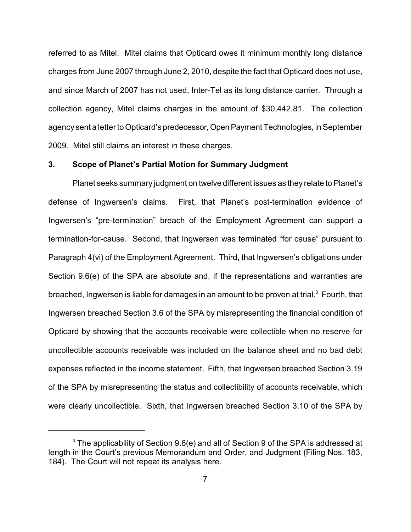referred to as Mitel. Mitel claims that Opticard owes it minimum monthly long distance charges from June 2007 through June 2, 2010, despite the fact that Opticard does not use, and since March of 2007 has not used, Inter-Tel as its long distance carrier. Through a collection agency, Mitel claims charges in the amount of \$30,442.81. The collection agency sent a letter to Opticard's predecessor, Open Payment Technologies, in September 2009. Mitel still claims an interest in these charges.

## **3. Scope of Planet's Partial Motion for Summary Judgment**

Planet seeks summary judgment on twelve different issues as they relate to Planet's defense of Ingwersen's claims. First, that Planet's post-termination evidence of Ingwersen's "pre-termination" breach of the Employment Agreement can support a termination-for-cause. Second, that Ingwersen was terminated "for cause" pursuant to Paragraph 4(vi) of the Employment Agreement. Third, that Ingwersen's obligations under Section 9.6(e) of the SPA are absolute and, if the representations and warranties are breached, Ingwersen is liable for damages in an amount to be proven at trial.<sup>3</sup> Fourth, that Ingwersen breached Section 3.6 of the SPA by misrepresenting the financial condition of Opticard by showing that the accounts receivable were collectible when no reserve for uncollectible accounts receivable was included on the balance sheet and no bad debt expenses reflected in the income statement. Fifth, that Ingwersen breached Section 3.19 of the SPA by misrepresenting the status and collectibility of accounts receivable, which were clearly uncollectible. Sixth, that Ingwersen breached Section 3.10 of the SPA by

 $3$  The applicability of Section 9.6(e) and all of Section 9 of the SPA is addressed at length in the Court's previous Memorandum and Order, and Judgment (Filing Nos. 183, 184). The Court will not repeat its analysis here.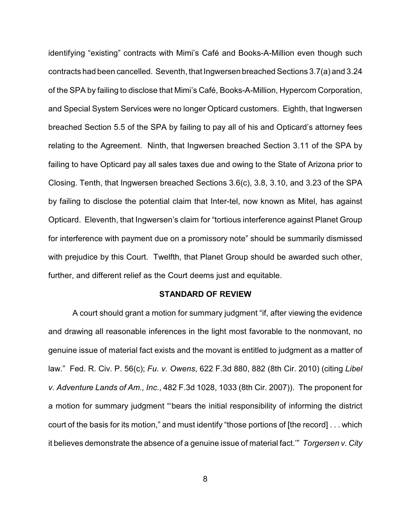identifying "existing" contracts with Mimi's Café and Books-A-Million even though such contracts had been cancelled. Seventh, that Ingwersen breached Sections 3.7(a) and 3.24 of the SPA by failing to disclose that Mimi's Café, Books-A-Million, Hypercom Corporation, and Special System Services were no longer Opticard customers. Eighth, that Ingwersen breached Section 5.5 of the SPA by failing to pay all of his and Opticard's attorney fees relating to the Agreement. Ninth, that Ingwersen breached Section 3.11 of the SPA by failing to have Opticard pay all sales taxes due and owing to the State of Arizona prior to Closing. Tenth, that Ingwersen breached Sections 3.6(c), 3.8, 3.10, and 3.23 of the SPA by failing to disclose the potential claim that Inter-tel, now known as Mitel, has against Opticard. Eleventh, that Ingwersen's claim for "tortious interference against Planet Group for interference with payment due on a promissory note" should be summarily dismissed with prejudice by this Court. Twelfth, that Planet Group should be awarded such other, further, and different relief as the Court deems just and equitable.

#### **STANDARD OF REVIEW**

A court should grant a motion for summary judgment "if, after viewing the evidence and drawing all reasonable inferences in the light most favorable to the nonmovant, no genuine issue of material fact exists and the movant is entitled to judgment as a matter of law." Fed. R. Civ. P. 56(c); *Fu. v. Owens*, 622 F.3d 880, 882 (8th Cir. 2010) (citing *Libel v. Adventure Lands of Am., Inc*., 482 F.3d 1028, 1033 (8th Cir. 2007)). The proponent for a motion for summary judgment "'bears the initial responsibility of informing the district court of the basis for its motion," and must identify "those portions of [the record] . . . which it believes demonstrate the absence of a genuine issue of material fact.'" *Torgersen v. City*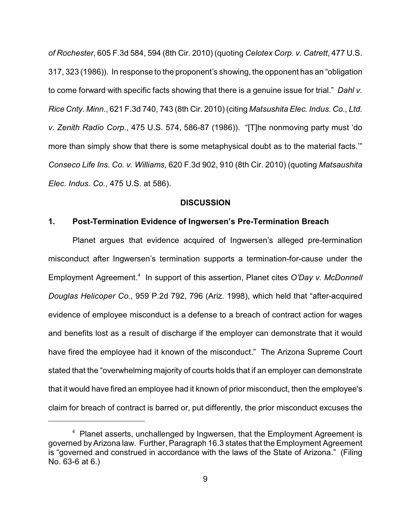*of Rochester*, 605 F.3d 584, 594 (8th Cir. 2010) (quoting *Celotex Corp. v. Catrett*, 477 U.S. 317, 323 (1986)). In response to the proponent's showing, the opponent has an "obligation to come forward with specific facts showing that there is a genuine issue for trial." *Dahl v. Rice Cnty. Minn.*, 621 F.3d 740, 743 (8th Cir. 2010) (citing *Matsushita Elec. Indus. Co., Ltd. v. Zenith Radio Corp.*, 475 U.S. 574, 586-87 (1986)). "[T]he nonmoving party must 'do more than simply show that there is some metaphysical doubt as to the material facts.'" *Conseco Life Ins. Co. v. Williams,* 620 F.3d 902, 910 (8th Cir. 2010) (quoting *Matsaushita Elec. Indus. Co.*, 475 U.S. at 586).

#### **DISCUSSION**

## **1. Post-Termination Evidence of Ingwersen's Pre-Termination Breach**

Planet argues that evidence acquired of Ingwersen's alleged pre-termination misconduct after Ingwersen's termination supports a termination-for-cause under the Employment Agreement.<sup>4</sup> In support of this assertion, Planet cites O'Day v. McDonnell *Douglas Helicoper Co.*, 959 P.2d 792, 796 (Ariz. 1998), which held that "after-acquired evidence of employee misconduct is a defense to a breach of contract action for wages and benefits lost as a result of discharge if the employer can demonstrate that it would have fired the employee had it known of the misconduct." The Arizona Supreme Court stated that the "overwhelming majority of courts holds that if an employer can demonstrate that it would have fired an employee had it known of prior misconduct, then the employee's claim for breach of contract is barred or, put differently, the prior misconduct excuses the

 $4$  Planet asserts, unchallenged by Ingwersen, that the Employment Agreement is governed byArizona law. Further, Paragraph 16.3 states that the Employment Agreement is "governed and construed in accordance with the laws of the State of Arizona." (Filing No. 63-6 at 6.)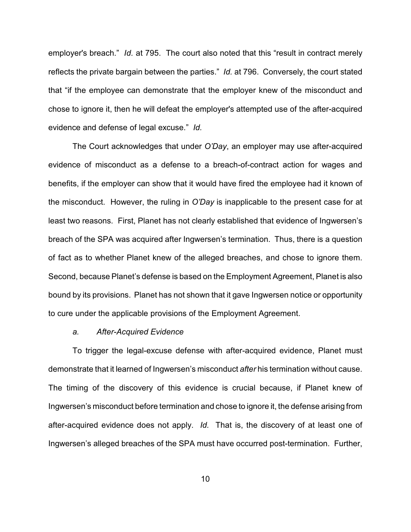employer's breach." *Id.* at 795. The court also noted that this "result in contract merely reflects the private bargain between the parties." *Id.* at 796. Conversely, the court stated that "if the employee can demonstrate that the employer knew of the misconduct and chose to ignore it, then he will defeat the employer's attempted use of the after-acquired evidence and defense of legal excuse." *Id.* 

The Court acknowledges that under *O'Day*, an employer may use after-acquired evidence of misconduct as a defense to a breach-of-contract action for wages and benefits, if the employer can show that it would have fired the employee had it known of the misconduct. However, the ruling in *O'Day* is inapplicable to the present case for at least two reasons. First, Planet has not clearly established that evidence of Ingwersen's breach of the SPA was acquired after Ingwersen's termination. Thus, there is a question of fact as to whether Planet knew of the alleged breaches, and chose to ignore them. Second, because Planet's defense is based on the Employment Agreement, Planet is also bound by its provisions. Planet has not shown that it gave Ingwersen notice or opportunity to cure under the applicable provisions of the Employment Agreement.

#### *a. After-Acquired Evidence*

To trigger the legal-excuse defense with after-acquired evidence, Planet must demonstrate that it learned of Ingwersen's misconduct *after* his termination without cause. The timing of the discovery of this evidence is crucial because, if Planet knew of Ingwersen's misconduct before termination and chose to ignore it, the defense arising from after-acquired evidence does not apply. *Id.* That is, the discovery of at least one of Ingwersen's alleged breaches of the SPA must have occurred post-termination. Further,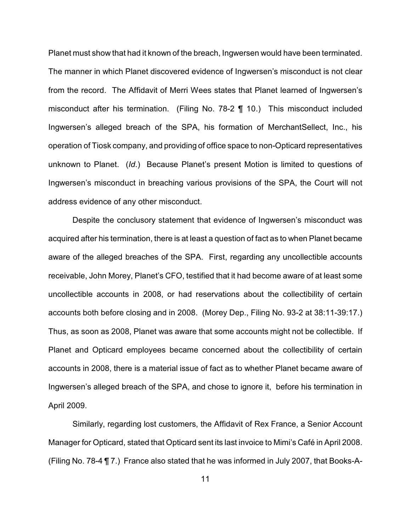Planet must show that had it known of the breach, Ingwersen would have been terminated. The manner in which Planet discovered evidence of Ingwersen's misconduct is not clear from the record. The Affidavit of Merri Wees states that Planet learned of Ingwersen's misconduct after his termination. (Filing No. 78-2 ¶ 10.) This misconduct included Ingwersen's alleged breach of the SPA, his formation of MerchantSellect, Inc., his operation of Tiosk company, and providing of office space to non-Opticard representatives unknown to Planet. (*Id*.) Because Planet's present Motion is limited to questions of Ingwersen's misconduct in breaching various provisions of the SPA, the Court will not address evidence of any other misconduct.

Despite the conclusory statement that evidence of Ingwersen's misconduct was acquired after his termination, there is at least a question of fact as to when Planet became aware of the alleged breaches of the SPA. First, regarding any uncollectible accounts receivable, John Morey, Planet's CFO, testified that it had become aware of at least some uncollectible accounts in 2008, or had reservations about the collectibility of certain accounts both before closing and in 2008. (Morey Dep., Filing No. 93-2 at 38:11-39:17.) Thus, as soon as 2008, Planet was aware that some accounts might not be collectible. If Planet and Opticard employees became concerned about the collectibility of certain accounts in 2008, there is a material issue of fact as to whether Planet became aware of Ingwersen's alleged breach of the SPA, and chose to ignore it, before his termination in April 2009.

Similarly, regarding lost customers, the Affidavit of Rex France, a Senior Account Manager for Opticard, stated that Opticard sent its last invoice to Mimi's Café in April 2008. (Filing No. 78-4 ¶ 7.) France also stated that he was informed in July 2007, that Books-A-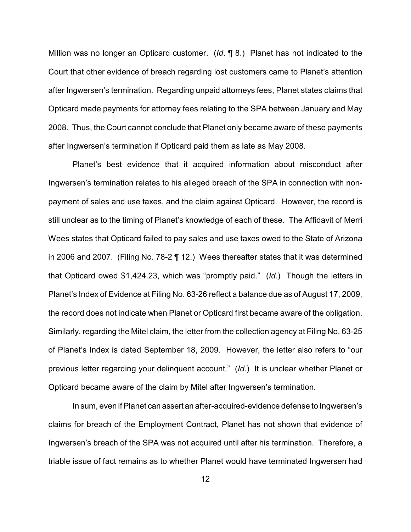Million was no longer an Opticard customer. (*Id*. ¶ 8.) Planet has not indicated to the Court that other evidence of breach regarding lost customers came to Planet's attention after Ingwersen's termination. Regarding unpaid attorneys fees, Planet states claims that Opticard made payments for attorney fees relating to the SPA between January and May 2008. Thus, the Court cannot conclude that Planet only became aware of these payments after Ingwersen's termination if Opticard paid them as late as May 2008.

Planet's best evidence that it acquired information about misconduct after Ingwersen's termination relates to his alleged breach of the SPA in connection with nonpayment of sales and use taxes, and the claim against Opticard. However, the record is still unclear as to the timing of Planet's knowledge of each of these. The Affidavit of Merri Wees states that Opticard failed to pay sales and use taxes owed to the State of Arizona in 2006 and 2007. (Filing No. 78-2 ¶ 12.) Wees thereafter states that it was determined that Opticard owed \$1,424.23, which was "promptly paid." (*Id*.) Though the letters in Planet's Index of Evidence at Filing No. 63-26 reflect a balance due as of August 17, 2009, the record does not indicate when Planet or Opticard first became aware of the obligation. Similarly, regarding the Mitel claim, the letter from the collection agency at Filing No. 63-25 of Planet's Index is dated September 18, 2009. However, the letter also refers to "our previous letter regarding your delinquent account." (*Id*.) It is unclear whether Planet or Opticard became aware of the claim by Mitel after Ingwersen's termination.

In sum, even if Planet can assert an after-acquired-evidence defense to Ingwersen's claims for breach of the Employment Contract, Planet has not shown that evidence of Ingwersen's breach of the SPA was not acquired until after his termination. Therefore, a triable issue of fact remains as to whether Planet would have terminated Ingwersen had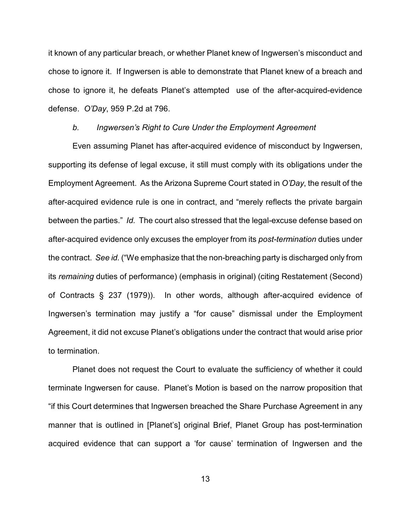it known of any particular breach, or whether Planet knew of Ingwersen's misconduct and chose to ignore it. If Ingwersen is able to demonstrate that Planet knew of a breach and chose to ignore it, he defeats Planet's attempted use of the after-acquired-evidence defense. *O'Day*, 959 P.2d at 796.

#### *b. Ingwersen's Right to Cure Under the Employment Agreement*

Even assuming Planet has after-acquired evidence of misconduct by Ingwersen, supporting its defense of legal excuse, it still must comply with its obligations under the Employment Agreement. As the Arizona Supreme Court stated in *O'Day*, the result of the after-acquired evidence rule is one in contract, and "merely reflects the private bargain between the parties." *Id.* The court also stressed that the legal-excuse defense based on after-acquired evidence only excuses the employer from its *post-termination* duties under the contract. *See id.* ("We emphasize that the non-breaching party is discharged only from its *remaining* duties of performance) (emphasis in original) (citing Restatement (Second) of Contracts § 237 (1979)). In other words, although after-acquired evidence of Ingwersen's termination may justify a "for cause" dismissal under the Employment Agreement, it did not excuse Planet's obligations under the contract that would arise prior to termination.

Planet does not request the Court to evaluate the sufficiency of whether it could terminate Ingwersen for cause. Planet's Motion is based on the narrow proposition that "if this Court determines that Ingwersen breached the Share Purchase Agreement in any manner that is outlined in [Planet's] original Brief, Planet Group has post-termination acquired evidence that can support a 'for cause' termination of Ingwersen and the

13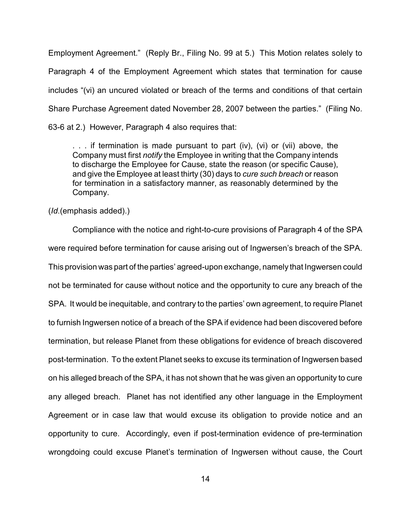Employment Agreement." (Reply Br., Filing No. 99 at 5.) This Motion relates solely to Paragraph 4 of the Employment Agreement which states that termination for cause includes "(vi) an uncured violated or breach of the terms and conditions of that certain Share Purchase Agreement dated November 28, 2007 between the parties." (Filing No. 63-6 at 2.) However, Paragraph 4 also requires that:

. . . if termination is made pursuant to part (iv), (vi) or (vii) above, the Company must first *notify* the Employee in writing that the Company intends to discharge the Employee for Cause, state the reason (or specific Cause), and give the Employee at least thirty (30) days to *cure such breach* or reason for termination in a satisfactory manner, as reasonably determined by the Company.

(*Id*.(emphasis added).)

Compliance with the notice and right-to-cure provisions of Paragraph 4 of the SPA were required before termination for cause arising out of Ingwersen's breach of the SPA. This provision was part of the parties' agreed-upon exchange, namely that Ingwersen could not be terminated for cause without notice and the opportunity to cure any breach of the SPA. It would be inequitable, and contrary to the parties' own agreement, to require Planet to furnish Ingwersen notice of a breach of the SPA if evidence had been discovered before termination, but release Planet from these obligations for evidence of breach discovered post-termination. To the extent Planet seeks to excuse its termination of Ingwersen based on his alleged breach of the SPA, it has not shown that he was given an opportunity to cure any alleged breach. Planet has not identified any other language in the Employment Agreement or in case law that would excuse its obligation to provide notice and an opportunity to cure. Accordingly, even if post-termination evidence of pre-termination wrongdoing could excuse Planet's termination of Ingwersen without cause, the Court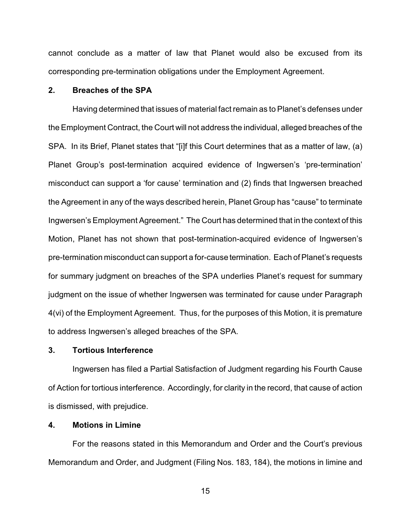cannot conclude as a matter of law that Planet would also be excused from its corresponding pre-termination obligations under the Employment Agreement.

## **2. Breaches of the SPA**

Having determined that issues of material fact remain as to Planet's defenses under the Employment Contract, the Court will not address the individual, alleged breaches of the SPA. In its Brief, Planet states that "[i]f this Court determines that as a matter of law, (a) Planet Group's post-termination acquired evidence of Ingwersen's 'pre-termination' misconduct can support a 'for cause' termination and (2) finds that Ingwersen breached the Agreement in any of the ways described herein, Planet Group has "cause" to terminate Ingwersen's Employment Agreement." The Court has determined that in the context of this Motion, Planet has not shown that post-termination-acquired evidence of Ingwersen's pre-termination misconduct can support a for-cause termination. Each of Planet's requests for summary judgment on breaches of the SPA underlies Planet's request for summary judgment on the issue of whether Ingwersen was terminated for cause under Paragraph 4(vi) of the Employment Agreement. Thus, for the purposes of this Motion, it is premature to address Ingwersen's alleged breaches of the SPA.

#### **3. Tortious Interference**

Ingwersen has filed a Partial Satisfaction of Judgment regarding his Fourth Cause of Action for tortious interference. Accordingly, for clarity in the record, that cause of action is dismissed, with prejudice.

# **4. Motions in Limine**

For the reasons stated in this Memorandum and Order and the Court's previous Memorandum and Order, and Judgment (Filing Nos. 183, 184), the motions in limine and

15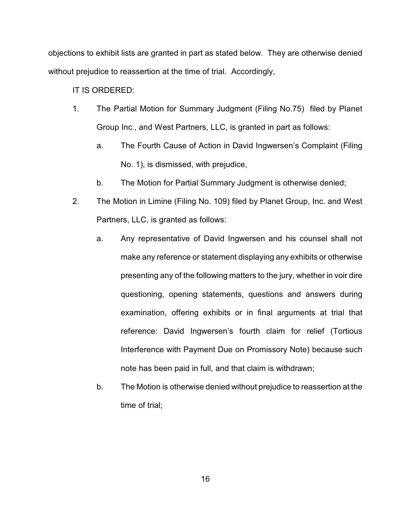objections to exhibit lists are granted in part as stated below. They are otherwise denied without prejudice to reassertion at the time of trial. Accordingly,

IT IS ORDERED:

- 1. The Partial Motion for Summary Judgment (Filing No.75) filed by Planet Group Inc., and West Partners, LLC, is granted in part as follows:
	- a. The Fourth Cause of Action in David Ingwersen's Complaint (Filing No. 1), is dismissed, with prejudice,
	- b. The Motion for Partial Summary Judgment is otherwise denied;
- 2. The Motion in Limine (Filing No. 109) filed by Planet Group, Inc. and West Partners, LLC, is granted as follows:
	- a. Any representative of David Ingwersen and his counsel shall not make any reference or statement displaying any exhibits or otherwise presenting any of the following matters to the jury, whether in voir dire questioning, opening statements, questions and answers during examination, offering exhibits or in final arguments at trial that reference: David Ingwersen's fourth claim for relief (Tortious Interference with Payment Due on Promissory Note) because such note has been paid in full, and that claim is withdrawn;
	- b. The Motion is otherwise denied without prejudice to reassertion at the time of trial;